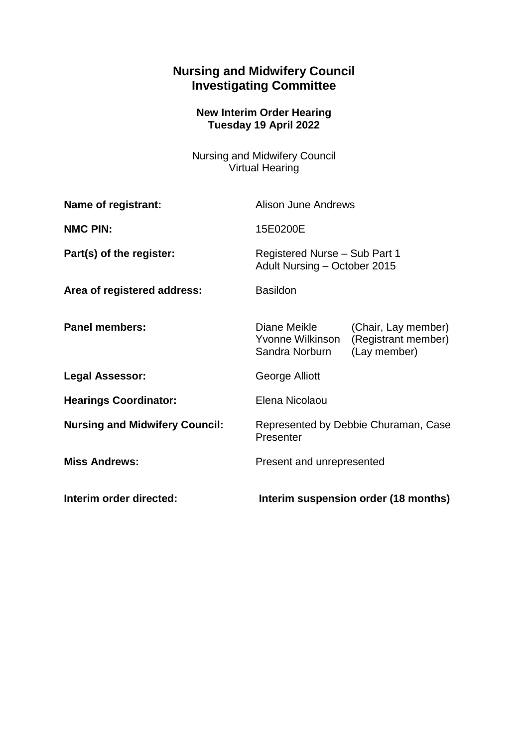## **Nursing and Midwifery Council Investigating Committee**

## **New Interim Order Hearing Tuesday 19 April 2022**

Nursing and Midwifery Council Virtual Hearing

| Name of registrant:                   | <b>Alison June Andrews</b>                                    |                                                            |
|---------------------------------------|---------------------------------------------------------------|------------------------------------------------------------|
| <b>NMC PIN:</b>                       | 15E0200E                                                      |                                                            |
| Part(s) of the register:              | Registered Nurse - Sub Part 1<br>Adult Nursing - October 2015 |                                                            |
| Area of registered address:           | <b>Basildon</b>                                               |                                                            |
| <b>Panel members:</b>                 | Diane Meikle<br>Yvonne Wilkinson<br>Sandra Norburn            | (Chair, Lay member)<br>(Registrant member)<br>(Lay member) |
| <b>Legal Assessor:</b>                | George Alliott                                                |                                                            |
| <b>Hearings Coordinator:</b>          | Elena Nicolaou                                                |                                                            |
| <b>Nursing and Midwifery Council:</b> | Represented by Debbie Churaman, Case<br>Presenter             |                                                            |
| <b>Miss Andrews:</b>                  | Present and unrepresented                                     |                                                            |
| Interim order directed:               | Interim suspension order (18 months)                          |                                                            |